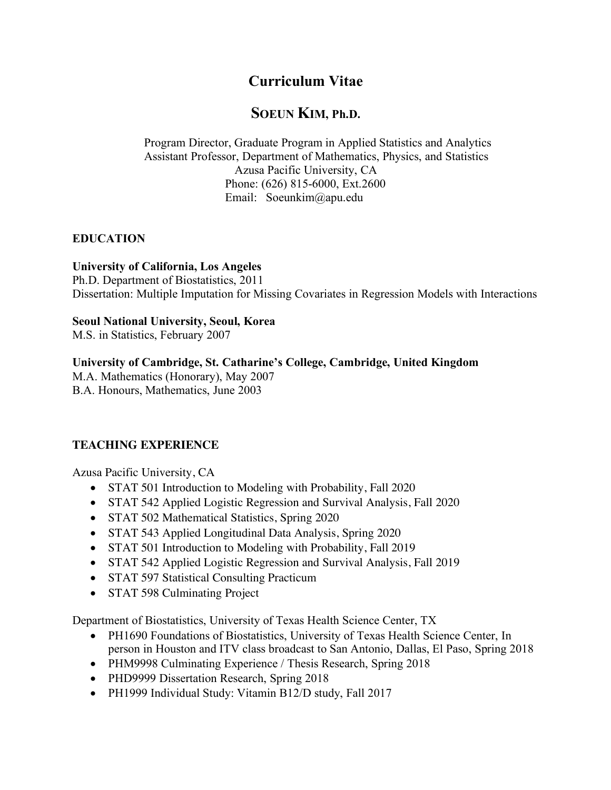# **Curriculum Vitae**

## **SOEUN KIM, Ph.D.**

Program Director, Graduate Program in Applied Statistics and Analytics Assistant Professor, Department of Mathematics, Physics, and Statistics Azusa Pacific University, CA Phone: (626) 815-6000, Ext.2600 Email: Soeunkim@apu.edu

## **EDUCATION**

#### **University of California, Los Angeles**

Ph.D. Department of Biostatistics, 2011 Dissertation: Multiple Imputation for Missing Covariates in Regression Models with Interactions

#### **Seoul National University, Seoul, Korea**

M.S. in Statistics, February 2007

#### **University of Cambridge, St. Catharine's College, Cambridge, United Kingdom**

M.A. Mathematics (Honorary), May 2007 B.A. Honours, Mathematics, June 2003

## **TEACHING EXPERIENCE**

Azusa Pacific University, CA

- STAT 501 Introduction to Modeling with Probability, Fall 2020
- STAT 542 Applied Logistic Regression and Survival Analysis, Fall 2020
- STAT 502 Mathematical Statistics, Spring 2020
- STAT 543 Applied Longitudinal Data Analysis, Spring 2020
- STAT 501 Introduction to Modeling with Probability, Fall 2019
- STAT 542 Applied Logistic Regression and Survival Analysis, Fall 2019
- STAT 597 Statistical Consulting Practicum
- STAT 598 Culminating Project

Department of Biostatistics, University of Texas Health Science Center, TX

- PH1690 Foundations of Biostatistics, University of Texas Health Science Center, In person in Houston and ITV class broadcast to San Antonio, Dallas, El Paso, Spring 2018
- PHM9998 Culminating Experience / Thesis Research, Spring 2018
- PHD9999 Dissertation Research, Spring 2018
- PH1999 Individual Study: Vitamin B12/D study, Fall 2017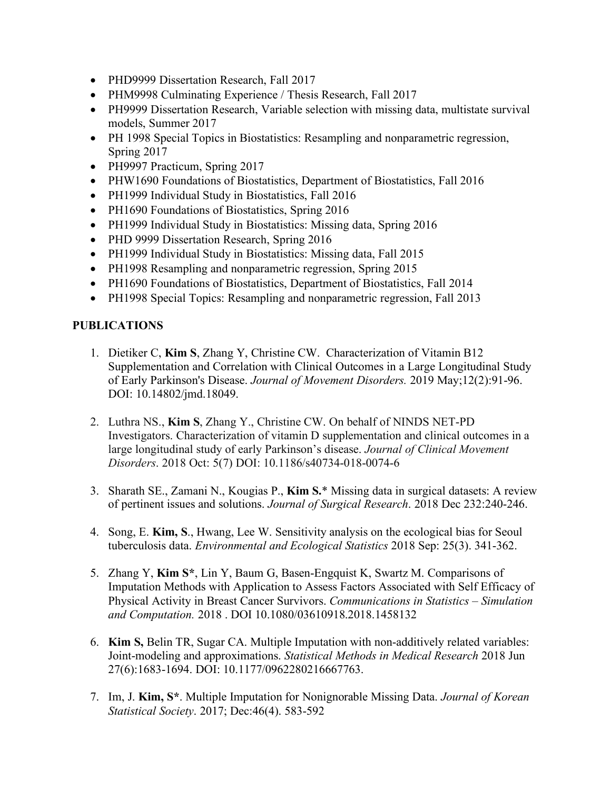- PHD9999 Dissertation Research, Fall 2017
- PHM9998 Culminating Experience / Thesis Research, Fall 2017
- PH9999 Dissertation Research, Variable selection with missing data, multistate survival models, Summer 2017
- PH 1998 Special Topics in Biostatistics: Resampling and nonparametric regression, Spring 2017
- PH9997 Practicum, Spring 2017
- PHW1690 Foundations of Biostatistics, Department of Biostatistics, Fall 2016
- PH1999 Individual Study in Biostatistics, Fall 2016
- PH1690 Foundations of Biostatistics, Spring 2016
- PH1999 Individual Study in Biostatistics: Missing data, Spring 2016
- PHD 9999 Dissertation Research, Spring 2016
- PH1999 Individual Study in Biostatistics: Missing data, Fall 2015
- PH1998 Resampling and nonparametric regression, Spring 2015
- PH1690 Foundations of Biostatistics, Department of Biostatistics, Fall 2014
- PH1998 Special Topics: Resampling and nonparametric regression, Fall 2013

#### **PUBLICATIONS**

- 1. Dietiker C, **Kim S**, Zhang Y, Christine CW. Characterization of Vitamin B12 Supplementation and Correlation with Clinical Outcomes in a Large Longitudinal Study of Early Parkinson's Disease. *Journal of Movement Disorders.* 2019 May;12(2):91-96. DOI: 10.14802/jmd.18049.
- 2. Luthra NS., **Kim S**, Zhang Y., Christine CW. On behalf of NINDS NET-PD Investigators. Characterization of vitamin D supplementation and clinical outcomes in a large longitudinal study of early Parkinson's disease. *Journal of Clinical Movement Disorders*. 2018 Oct: 5(7) DOI: 10.1186/s40734-018-0074-6
- 3. Sharath SE., Zamani N., Kougias P., **Kim S.**\* Missing data in surgical datasets: A review of pertinent issues and solutions. *Journal of Surgical Research*. 2018 Dec 232:240-246.
- 4. Song, E. **Kim, S**., Hwang, Lee W. Sensitivity analysis on the ecological bias for Seoul tuberculosis data. *Environmental and Ecological Statistics* 2018 Sep: 25(3). 341-362.
- 5. Zhang Y, **Kim S\***, Lin Y, Baum G, Basen-Engquist K, Swartz M. Comparisons of Imputation Methods with Application to Assess Factors Associated with Self Efficacy of Physical Activity in Breast Cancer Survivors. *Communications in Statistics – Simulation and Computation.* 2018 . DOI 10.1080/03610918.2018.1458132
- 6. **Kim S,** Belin TR, Sugar CA. Multiple Imputation with non-additively related variables: Joint-modeling and approximations. *Statistical Methods in Medical Research* 2018 Jun 27(6):1683-1694. DOI: 10.1177/0962280216667763.
- 7. Im, J. **Kim, S\***. Multiple Imputation for Nonignorable Missing Data. *Journal of Korean Statistical Society*. 2017; Dec:46(4). 583-592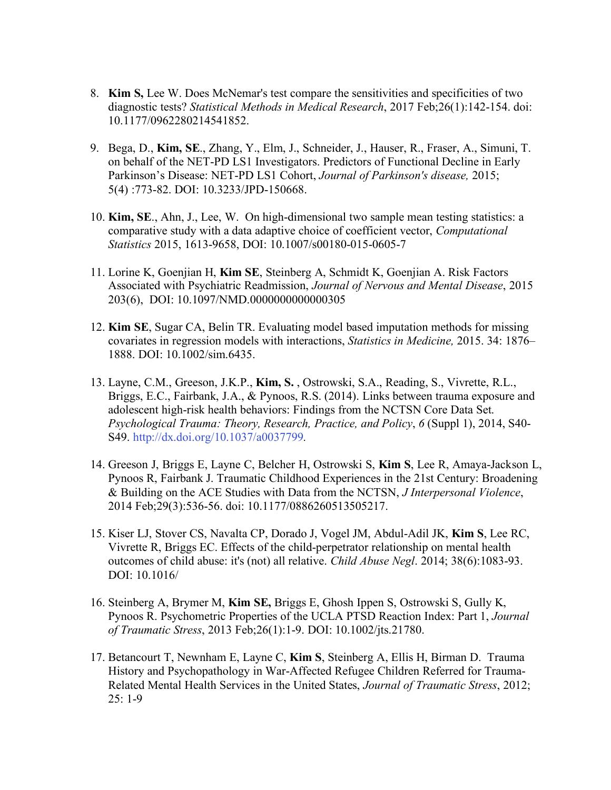- 8. **Kim S,** Lee W. Does McNemar's test compare the sensitivities and specificities of two diagnostic tests? *Statistical Methods in Medical Research*, 2017 Feb;26(1):142-154. doi: 10.1177/0962280214541852.
- 9. Bega, D., **Kim, SE**., Zhang, Y., Elm, J., Schneider, J., Hauser, R., Fraser, A., Simuni, T. on behalf of the NET-PD LS1 Investigators. Predictors of Functional Decline in Early Parkinson's Disease: NET-PD LS1 Cohort, *Journal of Parkinson's disease,* 2015; 5(4) :773-82. DOI: 10.3233/JPD-150668.
- 10. **Kim, SE**., Ahn, J., Lee, W. On high-dimensional two sample mean testing statistics: a comparative study with a data adaptive choice of coefficient vector, *Computational Statistics* 2015, 1613-9658, DOI: 10.1007/s00180-015-0605-7
- 11. Lorine K, Goenjian H, **Kim SE**, Steinberg A, Schmidt K, Goenjian A. Risk Factors Associated with Psychiatric Readmission, *Journal of Nervous and Mental Disease*, 2015 203(6), DOI: 10.1097/NMD.0000000000000305
- 12. **Kim SE**, Sugar CA, Belin TR. Evaluating model based imputation methods for missing covariates in regression models with interactions, *Statistics in Medicine,* 2015. 34: 1876– 1888. DOI: 10.1002/sim.6435.
- 13. Layne, C.M., Greeson, J.K.P., **Kim, S.** , Ostrowski, S.A., Reading, S., Vivrette, R.L., Briggs, E.C., Fairbank, J.A., & Pynoos, R.S. (2014). Links between trauma exposure and adolescent high-risk health behaviors: Findings from the NCTSN Core Data Set. *Psychological Trauma: Theory, Research, Practice, and Policy*, *6* (Suppl 1), 2014, S40- S49. http://dx.doi.org/10.1037/a0037799*.*
- 14. Greeson J, Briggs E, Layne C, Belcher H, Ostrowski S, **Kim S**, Lee R, Amaya-Jackson L, Pynoos R, Fairbank J. Traumatic Childhood Experiences in the 21st Century: Broadening & Building on the ACE Studies with Data from the NCTSN, *J Interpersonal Violence*, 2014 Feb;29(3):536-56. doi: 10.1177/0886260513505217.
- 15. Kiser LJ, Stover CS, Navalta CP, Dorado J, Vogel JM, Abdul-Adil JK, **Kim S**, Lee RC, Vivrette R, Briggs EC. Effects of the child-perpetrator relationship on mental health outcomes of child abuse: it's (not) all relative. *Child Abuse Negl*. 2014; 38(6):1083-93. DOI: 10.1016/
- 16. Steinberg A, Brymer M, **Kim SE,** Briggs E, Ghosh Ippen S, Ostrowski S, Gully K, Pynoos R. Psychometric Properties of the UCLA PTSD Reaction Index: Part 1, *Journal of Traumatic Stress*, 2013 Feb;26(1):1-9. DOI: 10.1002/jts.21780.
- 17. Betancourt T, Newnham E, Layne C, **Kim S**, Steinberg A, Ellis H, Birman D. Trauma History and Psychopathology in War-Affected Refugee Children Referred for Trauma-Related Mental Health Services in the United States, *Journal of Traumatic Stress*, 2012; 25: 1-9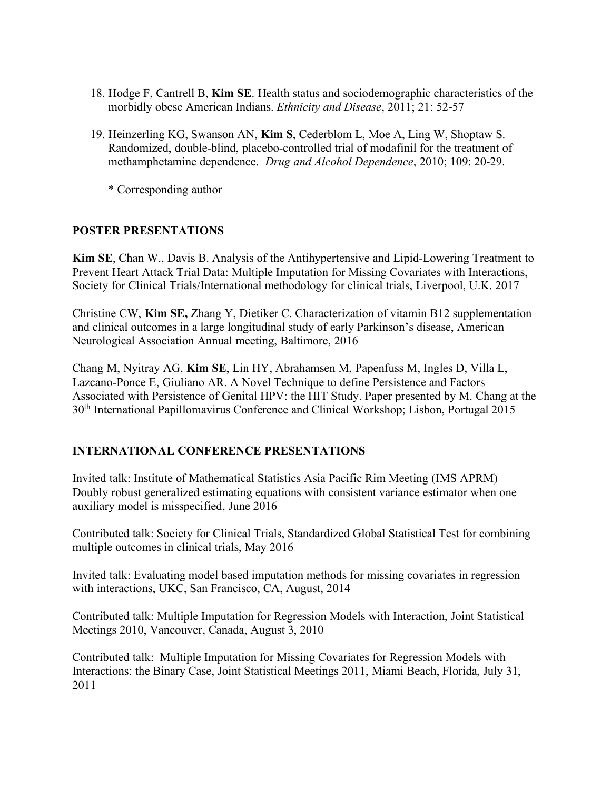- 18. Hodge F, Cantrell B, **Kim SE**. Health status and sociodemographic characteristics of the morbidly obese American Indians. *Ethnicity and Disease*, 2011; 21: 52-57
- 19. Heinzerling KG, Swanson AN, **Kim S**, Cederblom L, Moe A, Ling W, Shoptaw S. Randomized, double-blind, placebo-controlled trial of modafinil for the treatment of methamphetamine dependence. *Drug and Alcohol Dependence*, 2010; 109: 20-29.
	- \* Corresponding author

#### **POSTER PRESENTATIONS**

**Kim SE**, Chan W., Davis B. Analysis of the Antihypertensive and Lipid-Lowering Treatment to Prevent Heart Attack Trial Data: Multiple Imputation for Missing Covariates with Interactions, Society for Clinical Trials/International methodology for clinical trials, Liverpool, U.K. 2017

Christine CW, **Kim SE,** Zhang Y, Dietiker C. Characterization of vitamin B12 supplementation and clinical outcomes in a large longitudinal study of early Parkinson's disease, American Neurological Association Annual meeting, Baltimore, 2016

Chang M, Nyitray AG, **Kim SE**, Lin HY, Abrahamsen M, Papenfuss M, Ingles D, Villa L, Lazcano-Ponce E, Giuliano AR. A Novel Technique to define Persistence and Factors Associated with Persistence of Genital HPV: the HIT Study. Paper presented by M. Chang at the 30th International Papillomavirus Conference and Clinical Workshop; Lisbon, Portugal 2015

#### **INTERNATIONAL CONFERENCE PRESENTATIONS**

Invited talk: Institute of Mathematical Statistics Asia Pacific Rim Meeting (IMS APRM) Doubly robust generalized estimating equations with consistent variance estimator when one auxiliary model is misspecified, June 2016

Contributed talk: Society for Clinical Trials, Standardized Global Statistical Test for combining multiple outcomes in clinical trials, May 2016

Invited talk: Evaluating model based imputation methods for missing covariates in regression with interactions, UKC, San Francisco, CA, August, 2014

Contributed talk: Multiple Imputation for Regression Models with Interaction, Joint Statistical Meetings 2010, Vancouver, Canada, August 3, 2010

Contributed talk: Multiple Imputation for Missing Covariates for Regression Models with Interactions: the Binary Case, Joint Statistical Meetings 2011, Miami Beach, Florida, July 31, 2011